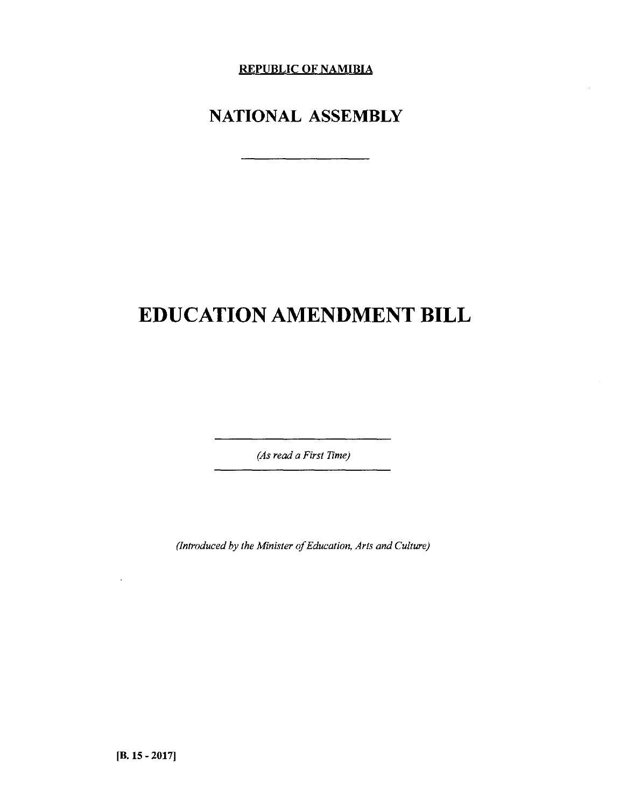**REPUBLIC OF NAMIBIA**

# **NATIONAL ASSEMBLY**

# **EDUCATION AMENDMENT BILL**

*(As read a First Time)*

*(Introduced by the Minister of Education, Arts and Culture)*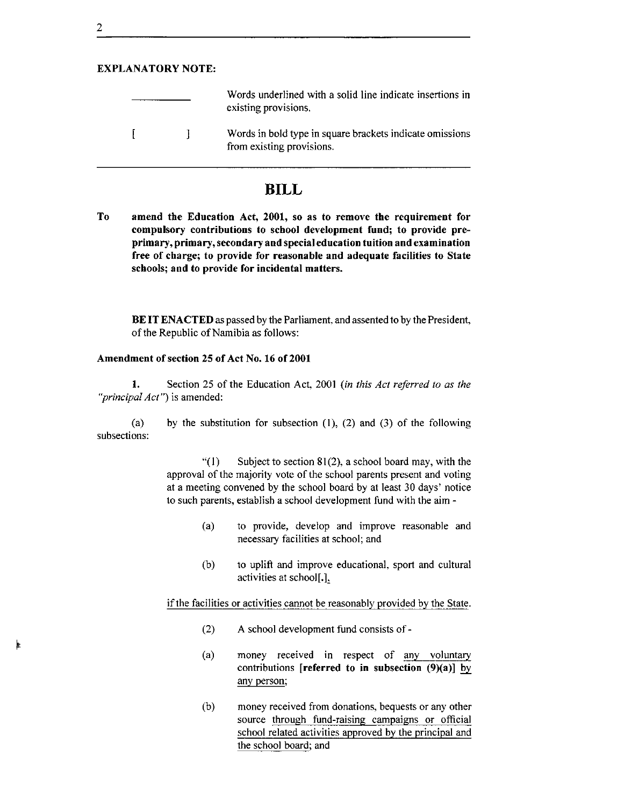# EXPLANATORY NOTE:

|  | Words underlined with a solid line indicate insertions in<br>existing provisions.     |
|--|---------------------------------------------------------------------------------------|
|  | Words in bold type in square brackets indicate omissions<br>from existing provisions. |

# **BILL**

To amend the Education Act, 2001, so as to remove the requirement for compulsory contributions to school development fund; to provide preprimary, primary, secondary and special education tuition and examination free of charge; to provide for reasonable and adequate facilities to State schools; and to provide for incidental matters.

BE IT ENACTED as passed by the Parliament, and assented to by the President, of the Republic of Namibia as follows:

#### Amendment of section 25 of Act No. 16 of 2001

1. Section 25 of the Education Act, 2001 *(in this Act referred to as the "principal Act")* is amended:

(a) subsections: by the substitution for subsection  $(1)$ ,  $(2)$  and  $(3)$  of the following

> "(1) Subject to section  $81(2)$ , a school board may, with the approval of the majority vote of the school parents present and voting at a meeting convened by the school board by at least 30 days' notice to such parents, establish a school development fund with the aim -

- (a) to provide, develop and improve reasonable and necessary facilities at school; and
- (b) to uplift and improve educational, sport and cultural activities at school].],

if the facilities or activities cannot be reasonably provided by the State.

- (2) A school development fund consists of -
- (a) money received in respect of any voluntary contributions [referred to in subsection  $(9)(a)$ ] by any person;
- (b) money received from donations, bequests or any other source through fund-raising campaigns or official school related activities approved by the principal and the school board; and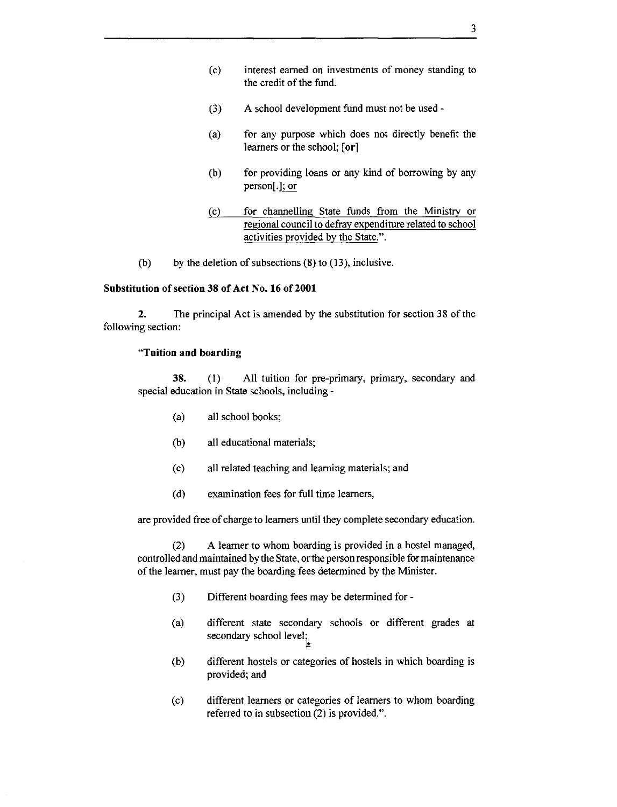- (c) interest earned on investments of money standing to the credit of the fund.
- (3) A school development fund must not be used -
- (a) for any purpose which does not directly benefit the learners or the school; **[or]**
- (b) for providing loans or any kind of borrowing by any person[ .]; or
- (c) for channelling State funds from the Ministry or regional council to defray expenditure related to school activities provided by the State.".
- (b) by the deletion of subsections  $(8)$  to  $(13)$ , inclusive.

#### **Substitution of section 38 of Act No. 16 of 2001**

**2.** The principal Act is amended by the substitution for section 38 of the following section:

#### **"Tuition and boarding**

**38.** (1) All tuition for pre-primary, primary, secondary and special education in State schools, including -

- (a) all school books;
- (b) all educational materials;
- (c) all related teaching and learning materials; and
- (d) examination fees for full time learners,

are provided free of charge to learners until they complete secondary education.

(2) A learner to whom boarding is provided in a hostel managed, controlled and maintained by the State, orthe person responsible for maintenance of the learner, must pay the boarding fees determined by the Minister.

- (3) Different boarding fees may be determined for-
- (a) different state secondary schools or different grades at secondary school level; ~.
- (b) different hostels or categories of hostels in which boarding is provided; and
- (c) different learners or categories of learners to whom boarding referred to in subsection (2) is provided.".